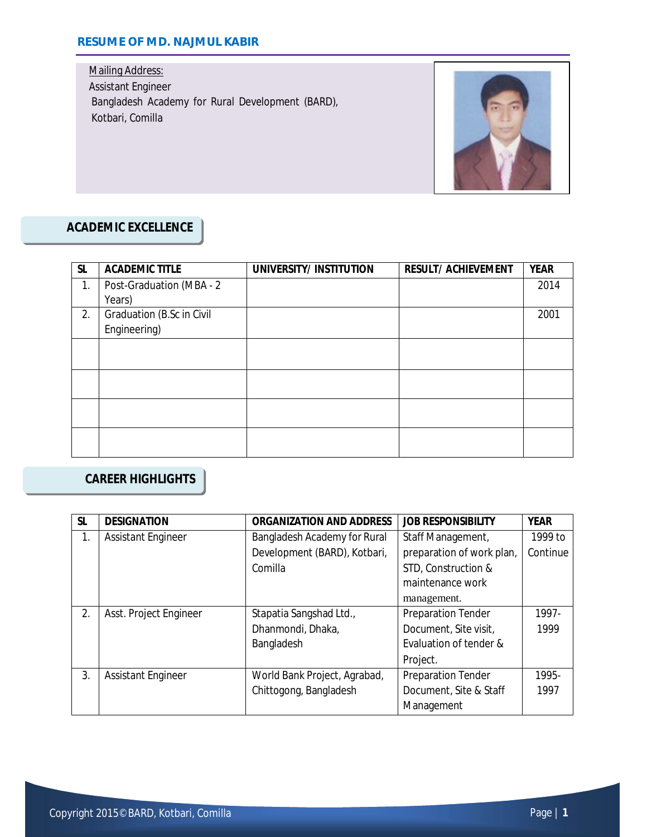### **RESUME OF MD. NAJMUL KABIR**

Mailing Address: Assistant Engineer Bangladesh Academy for Rural Development (BARD), Kotbari, Comilla



## **ACADEMIC EXCELLENCE**

| <b>SL</b> | <b>ACADEMIC TITLE</b>     | UNIVERSITY/INSTITUTION | <b>RESULT/ ACHIEVEMENT</b> | <b>YEAR</b> |
|-----------|---------------------------|------------------------|----------------------------|-------------|
| 1.        | Post-Graduation (MBA - 2  |                        |                            | 2014        |
|           | Years)                    |                        |                            |             |
| 2.        | Graduation (B.Sc in Civil |                        |                            | 2001        |
|           | Engineering)              |                        |                            |             |
|           |                           |                        |                            |             |
|           |                           |                        |                            |             |
|           |                           |                        |                            |             |
|           |                           |                        |                            |             |
|           |                           |                        |                            |             |
|           |                           |                        |                            |             |
|           |                           |                        |                            |             |
|           |                           |                        |                            |             |

# **CAREER HIGHLIGHTS**

| <b>SL</b> | <b>DESIGNATION</b>        | <b>ORGANIZATION AND ADDRESS</b>                   | <b>JOB RESPONSIBILITY</b> | <b>YEAR</b> |
|-----------|---------------------------|---------------------------------------------------|---------------------------|-------------|
| 1.        | <b>Assistant Engineer</b> | Bangladesh Academy for Rural<br>Staff Management, |                           | 1999 to     |
|           |                           | Development (BARD), Kotbari,                      | preparation of work plan, | Continue    |
|           |                           | Comilla                                           | STD, Construction &       |             |
|           |                           |                                                   | maintenance work          |             |
|           |                           |                                                   | management.               |             |
| 2.        | Asst. Project Engineer    | Stapatia Sangshad Ltd.,                           | <b>Preparation Tender</b> | 1997-       |
|           |                           | Dhanmondi, Dhaka,                                 | Document, Site visit,     | 1999        |
|           |                           | Bangladesh                                        | Evaluation of tender &    |             |
|           |                           |                                                   | Project.                  |             |
| 3.        | <b>Assistant Engineer</b> | World Bank Project, Agrabad,                      | <b>Preparation Tender</b> | 1995-       |
|           |                           | Chittogong, Bangladesh                            | Document, Site & Staff    | 1997        |
|           |                           |                                                   | Management                |             |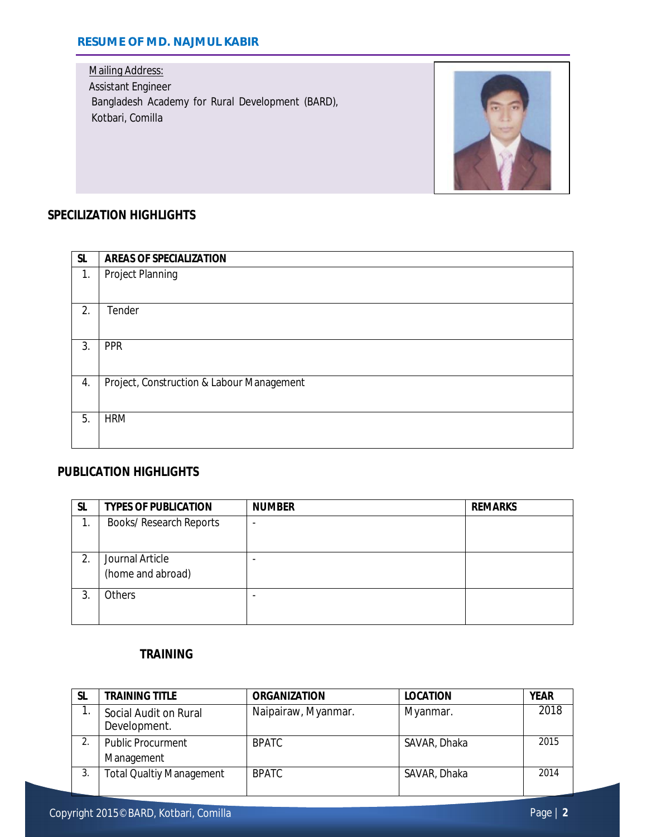### **RESUME OF MD. NAJMUL KABIR**

Mailing Address: Assistant Engineer Bangladesh Academy for Rural Development (BARD), Kotbari, Comilla



# **SPECILIZATION HIGHLIGHTS**

| <b>SL</b> | <b>AREAS OF SPECIALIZATION</b>            |
|-----------|-------------------------------------------|
| 1.        | Project Planning                          |
|           |                                           |
| 2.        | Tender                                    |
|           |                                           |
| 3.        | <b>PPR</b>                                |
|           |                                           |
| 4.        | Project, Construction & Labour Management |
|           |                                           |
| 5.        | <b>HRM</b>                                |
|           |                                           |

## **PUBLICATION HIGHLIGHTS**

| SL | <b>TYPES OF PUBLICATION</b>    | <b>NUMBER</b> | <b>REMARKS</b> |
|----|--------------------------------|---------------|----------------|
|    | <b>Books/ Research Reports</b> |               |                |
|    |                                |               |                |
| 2. | Journal Article                |               |                |
|    | (home and abroad)              |               |                |
| 3. | <b>Others</b>                  |               |                |
|    |                                |               |                |

#### **TRAINING**

| <b>SL</b> | <b>TRAINING TITLE</b>                 | <b>ORGANIZATION</b> | <b>LOCATION</b> | <b>YEAR</b> |
|-----------|---------------------------------------|---------------------|-----------------|-------------|
|           | Social Audit on Rural<br>Development. | Naipairaw, Myanmar. | Myanmar.        | 2018        |
|           | <b>Public Procurment</b>              | <b>BPATC</b>        | SAVAR, Dhaka    | 2015        |
|           | Management                            |                     |                 |             |
| 3.        | <b>Total Qualtiy Management</b>       | <b>BPATC</b>        | SAVAR, Dhaka    | 2014        |